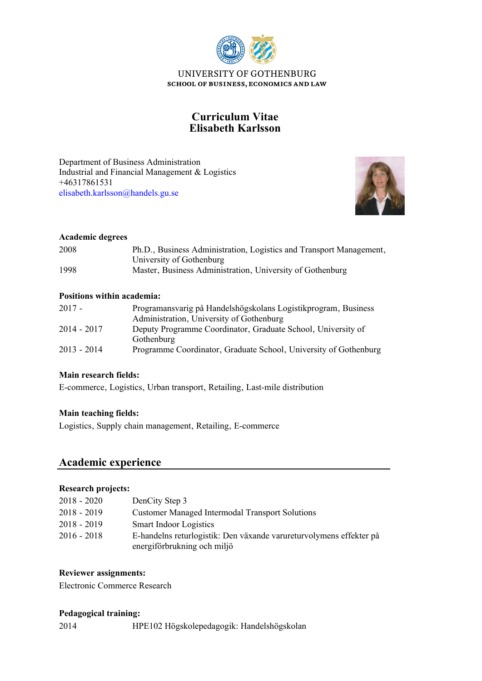

# **Elisabeth Karlsson Curriculum Vitae**

Industrial and Financial Management & Logistics Department of Business Administration +46317861531 [elisabeth.karlsson@handels.gu.se](mailto:elisabeth.karlsson@handels.gu.se)



### **Academic degrees**

| 2008 | Ph.D., Business Administration, Logistics and Transport Management, |
|------|---------------------------------------------------------------------|
|      | University of Gothenburg                                            |
| 1998 | Master, Business Administration, University of Gothenburg           |

### **Positions within academia:**

| $2017 -$      | Programansvarig på Handelshögskolans Logistikprogram, Business<br>Administration, University of Gothenburg |
|---------------|------------------------------------------------------------------------------------------------------------|
| $2014 - 2017$ | Deputy Programme Coordinator, Graduate School, University of<br>Gothenburg                                 |
| $2013 - 2014$ | Programme Coordinator, Graduate School, University of Gothenburg                                           |

### **Main research fields:**

E-commerce, Logistics, Urban transport, Retailing, Last-mile distribution

### **Main teaching fields:**

Logistics, Supply chain management, Retailing, E-commerce

## **Academic experience**

### **Research projects:**

| $2018 - 2020$ | DenCity Step 3                                                      |
|---------------|---------------------------------------------------------------------|
| $2018 - 2019$ | <b>Customer Managed Intermodal Transport Solutions</b>              |
| $2018 - 2019$ | <b>Smart Indoor Logistics</b>                                       |
| $2016 - 2018$ | E-handelns returlogistik: Den växande varureturvolymens effekter på |
|               | energiförbrukning och miljö                                         |

### **Reviewer assignments:**

Electronic Commerce Research

### **Pedagogical training:**

2014 HPE102 Högskolepedagogik: Handelshögskolan